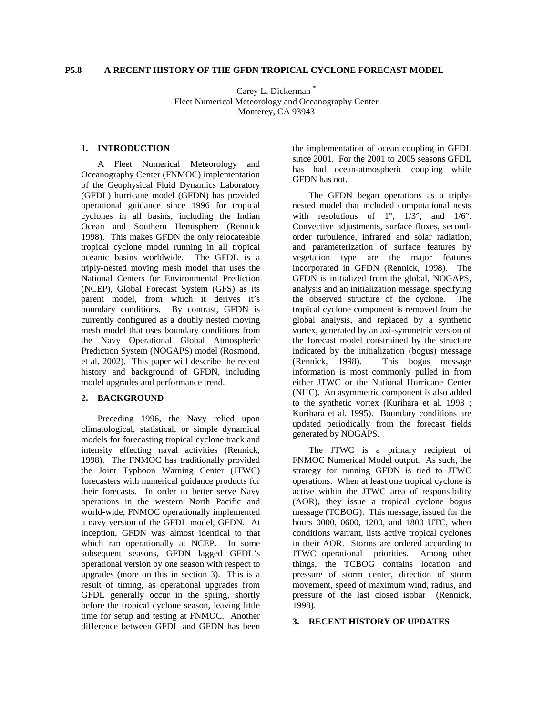### **P5.8 A RECENT HISTORY OF THE GFDN TROPICAL CYCLONE FORECAST MODEL**

Carey L. Dickerman [\\*](#page-6-0) Fleet Numerical Meteorology and Oceanography Center Monterey, CA 93943

#### **1. INTRODUCTION**

A Fleet Numerical Meteorology and Oceanography Center (FNMOC) implementation of the Geophysical Fluid Dynamics Laboratory (GFDL) hurricane model (GFDN) has provided operational guidance since 1996 for tropical cyclones in all basins, including the Indian Ocean and Southern Hemisphere (Rennick 1998). This makes GFDN the only relocateable tropical cyclone model running in all tropical oceanic basins worldwide. The GFDL is a triply-nested moving mesh model that uses the National Centers for Environmental Prediction (NCEP), Global Forecast System (GFS) as its parent model, from which it derives it's boundary conditions. By contrast, GFDN is currently configured as a doubly nested moving mesh model that uses boundary conditions from the Navy Operational Global Atmospheric Prediction System (NOGAPS) model (Rosmond, et al. 2002). This paper will describe the recent history and background of GFDN, including model upgrades and performance trend.

## **2. BACKGROUND**

Preceding 1996, the Navy relied upon climatological, statistical, or simple dynamical models for forecasting tropical cyclone track and intensity effecting naval activities (Rennick, 1998). The FNMOC has traditionally provided the Joint Typhoon Warning Center (JTWC) forecasters with numerical guidance products for their forecasts. In order to better serve Navy operations in the western North Pacific and world-wide, FNMOC operationally implemented a navy version of the GFDL model, GFDN. At inception, GFDN was almost identical to that which ran operationally at NCEP. In some subsequent seasons, GFDN lagged GFDL's operational version by one season with respect to upgrades (more on this in section 3). This is a result of timing, as operational upgrades from GFDL generally occur in the spring, shortly before the tropical cyclone season, leaving little time for setup and testing at FNMOC. Another difference between GFDL and GFDN has been

the implementation of ocean coupling in GFDL since 2001. For the 2001 to 2005 seasons GFDL has had ocean-atmospheric coupling while GFDN has not.

The GFDN began operations as a triplynested model that included computational nests with resolutions of  $1^\circ$ ,  $1/3^\circ$ , and  $1/6^\circ$ . Convective adjustments, surface fluxes, secondorder turbulence, infrared and solar radiation, and parameterization of surface features by vegetation type are the major features incorporated in GFDN (Rennick, 1998). The GFDN is initialized from the global, NOGAPS, analysis and an initialization message, specifying the observed structure of the cyclone. The tropical cyclone component is removed from the global analysis, and replaced by a synthetic vortex, generated by an axi-symmetric version of the forecast model constrained by the structure indicated by the initialization (bogus) message (Rennick, 1998). This bogus message information is most commonly pulled in from either JTWC or the National Hurricane Center (NHC). An asymmetric component is also added to the synthetic vortex (Kurihara et al. 1993 ; Kurihara et al. 1995). Boundary conditions are updated periodically from the forecast fields generated by NOGAPS.

The JTWC is a primary recipient of FNMOC Numerical Model output. As such, the strategy for running GFDN is tied to JTWC operations. When at least one tropical cyclone is active within the JTWC area of responsibility (AOR), they issue a tropical cyclone bogus message (TCBOG). This message, issued for the hours 0000, 0600, 1200, and 1800 UTC, when conditions warrant, lists active tropical cyclones in their AOR. Storms are ordered according to JTWC operational priorities. Among other things, the TCBOG contains location and pressure of storm center, direction of storm movement, speed of maximum wind, radius, and pressure of the last closed isobar (Rennick, 1998).

### **3. RECENT HISTORY OF UPDATES**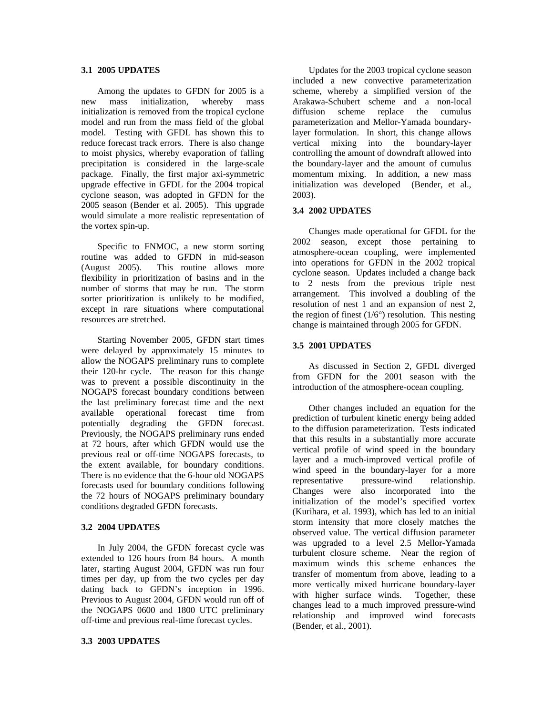### **3.1 2005 UPDATES**

Among the updates to GFDN for 2005 is a new mass initialization, whereby mass initialization is removed from the tropical cyclone model and run from the mass field of the global model. Testing with GFDL has shown this to reduce forecast track errors. There is also change to moist physics, whereby evaporation of falling precipitation is considered in the large-scale package. Finally, the first major axi-symmetric upgrade effective in GFDL for the 2004 tropical cyclone season, was adopted in GFDN for the 2005 season (Bender et al. 2005). This upgrade would simulate a more realistic representation of the vortex spin-up.

Specific to FNMOC, a new storm sorting routine was added to GFDN in mid-season (August 2005). This routine allows more flexibility in prioritization of basins and in the number of storms that may be run. The storm sorter prioritization is unlikely to be modified, except in rare situations where computational resources are stretched.

Starting November 2005, GFDN start times were delayed by approximately 15 minutes to allow the NOGAPS preliminary runs to complete their 120-hr cycle. The reason for this change was to prevent a possible discontinuity in the NOGAPS forecast boundary conditions between the last preliminary forecast time and the next available operational forecast time from potentially degrading the GFDN forecast. Previously, the NOGAPS preliminary runs ended at 72 hours, after which GFDN would use the previous real or off-time NOGAPS forecasts, to the extent available, for boundary conditions. There is no evidence that the 6-hour old NOGAPS forecasts used for boundary conditions following the 72 hours of NOGAPS preliminary boundary conditions degraded GFDN forecasts.

#### **3.2 2004 UPDATES**

In July 2004, the GFDN forecast cycle was extended to 126 hours from 84 hours. A month later, starting August 2004, GFDN was run four times per day, up from the two cycles per day dating back to GFDN's inception in 1996. Previous to August 2004, GFDN would run off of the NOGAPS 0600 and 1800 UTC preliminary off-time and previous real-time forecast cycles.

# **3.3 2003 UPDATES**

Updates for the 2003 tropical cyclone season included a new convective parameterization scheme, whereby a simplified version of the Arakawa-Schubert scheme and a non-local diffusion scheme replace the cumulus parameterization and Mellor-Yamada boundarylayer formulation. In short, this change allows vertical mixing into the boundary-layer controlling the amount of downdraft allowed into the boundary-layer and the amount of cumulus momentum mixing. In addition, a new mass initialization was developed (Bender, et al., 2003).

#### **3.4 2002 UPDATES**

Changes made operational for GFDL for the 2002 season, except those pertaining to atmosphere-ocean coupling, were implemented into operations for GFDN in the 2002 tropical cyclone season. Updates included a change back to 2 nests from the previous triple nest arrangement. This involved a doubling of the resolution of nest 1 and an expansion of nest 2, the region of finest  $(1/6^{\circ})$  resolution. This nesting change is maintained through 2005 for GFDN.

#### **3.5 2001 UPDATES**

 As discussed in Section 2, GFDL diverged from GFDN for the 2001 season with the introduction of the atmosphere-ocean coupling.

Other changes included an equation for the prediction of turbulent kinetic energy being added to the diffusion parameterization. Tests indicated that this results in a substantially more accurate vertical profile of wind speed in the boundary layer and a much-improved vertical profile of wind speed in the boundary-layer for a more representative pressure-wind relationship. Changes were also incorporated into the initialization of the model's specified vortex (Kurihara, et al. 1993), which has led to an initial storm intensity that more closely matches the observed value. The vertical diffusion parameter was upgraded to a level 2.5 Mellor-Yamada turbulent closure scheme. Near the region of maximum winds this scheme enhances the transfer of momentum from above, leading to a more vertically mixed hurricane boundary-layer with higher surface winds. Together, these changes lead to a much improved pressure-wind relationship and improved wind forecasts (Bender, et al., 2001).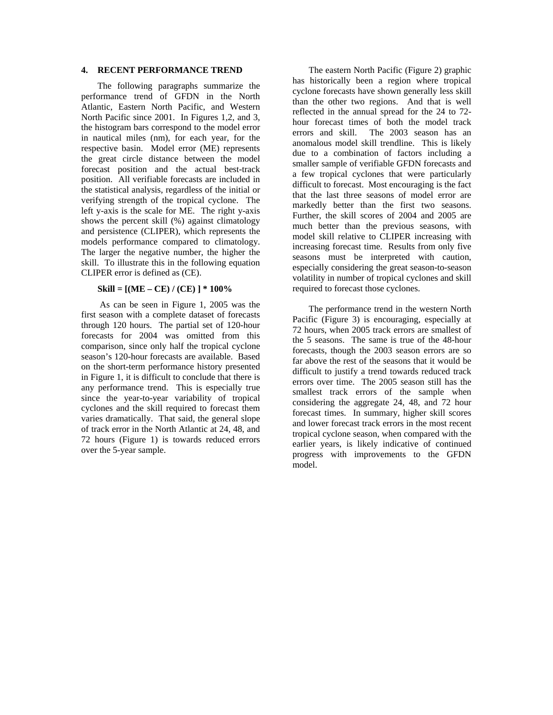## **4. RECENT PERFORMANCE TREND**

The following paragraphs summarize the performance trend of GFDN in the North Atlantic, Eastern North Pacific, and Western North Pacific since 2001. In Figures 1,2, and 3, the histogram bars correspond to the model error in nautical miles (nm), for each year, for the respective basin. Model error (ME) represents the great circle distance between the model forecast position and the actual best-track position. All verifiable forecasts are included in the statistical analysis, regardless of the initial or verifying strength of the tropical cyclone. The left y-axis is the scale for ME. The right y-axis shows the percent skill (%) against climatology and persistence (CLIPER), which represents the models performance compared to climatology. The larger the negative number, the higher the skill. To illustrate this in the following equation CLIPER error is defined as (CE).

#### **Skill = [(ME – CE) / (CE) ] \* 100%**

 As can be seen in Figure 1, 2005 was the first season with a complete dataset of forecasts through 120 hours. The partial set of 120-hour forecasts for 2004 was omitted from this comparison, since only half the tropical cyclone season's 120-hour forecasts are available. Based on the short-term performance history presented in Figure 1, it is difficult to conclude that there is any performance trend. This is especially true since the year-to-year variability of tropical cyclones and the skill required to forecast them varies dramatically. That said, the general slope of track error in the North Atlantic at 24, 48, and 72 hours (Figure 1) is towards reduced errors over the 5-year sample.

The eastern North Pacific (Figure 2) graphic has historically been a region where tropical cyclone forecasts have shown generally less skill than the other two regions. And that is well reflected in the annual spread for the 24 to 72 hour forecast times of both the model track errors and skill. The 2003 season has an anomalous model skill trendline. This is likely due to a combination of factors including a smaller sample of verifiable GFDN forecasts and a few tropical cyclones that were particularly difficult to forecast. Most encouraging is the fact that the last three seasons of model error are markedly better than the first two seasons. Further, the skill scores of 2004 and 2005 are much better than the previous seasons, with model skill relative to CLIPER increasing with increasing forecast time. Results from only five seasons must be interpreted with caution, especially considering the great season-to-season volatility in number of tropical cyclones and skill required to forecast those cyclones.

The performance trend in the western North Pacific (Figure 3) is encouraging, especially at 72 hours, when 2005 track errors are smallest of the 5 seasons. The same is true of the 48-hour forecasts, though the 2003 season errors are so far above the rest of the seasons that it would be difficult to justify a trend towards reduced track errors over time. The 2005 season still has the smallest track errors of the sample when considering the aggregate 24, 48, and 72 hour forecast times. In summary, higher skill scores and lower forecast track errors in the most recent tropical cyclone season, when compared with the earlier years, is likely indicative of continued progress with improvements to the GFDN model.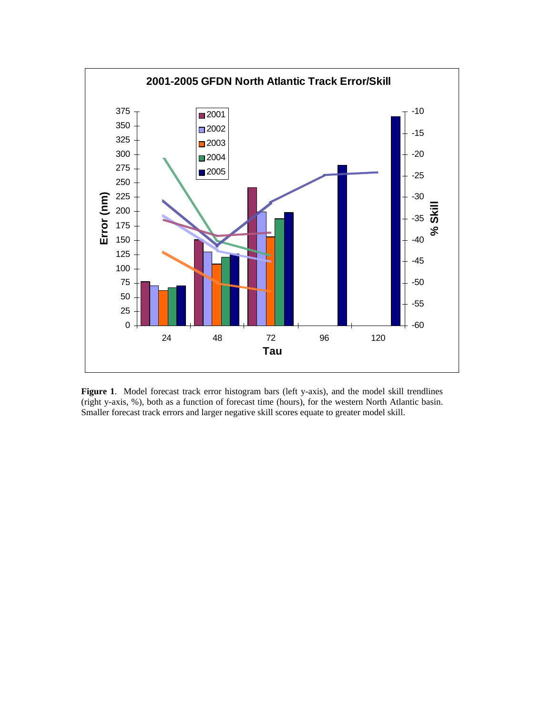

**Figure 1**. Model forecast track error histogram bars (left y-axis), and the model skill trendlines (right y-axis, %), both as a function of forecast time (hours), for the western North Atlantic basin. Smaller forecast track errors and larger negative skill scores equate to greater model skill.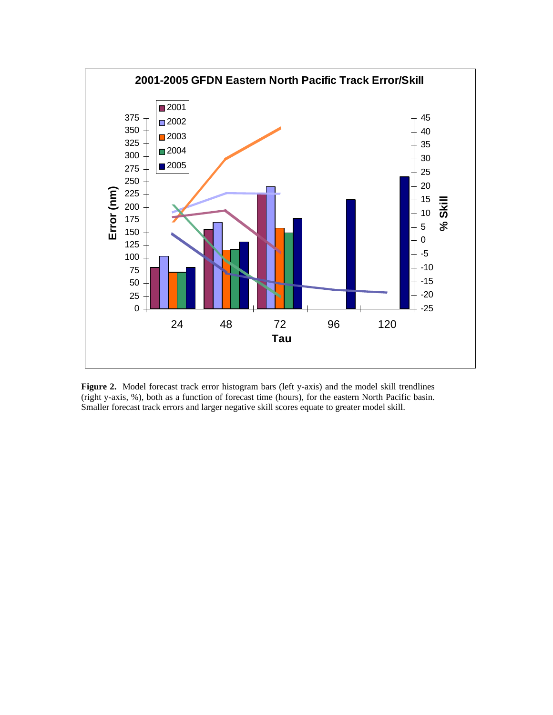

Figure 2. Model forecast track error histogram bars (left y-axis) and the model skill trendlines (right y-axis, %), both as a function of forecast time (hours), for the eastern North Pacific basin. Smaller forecast track errors and larger negative skill scores equate to greater model skill.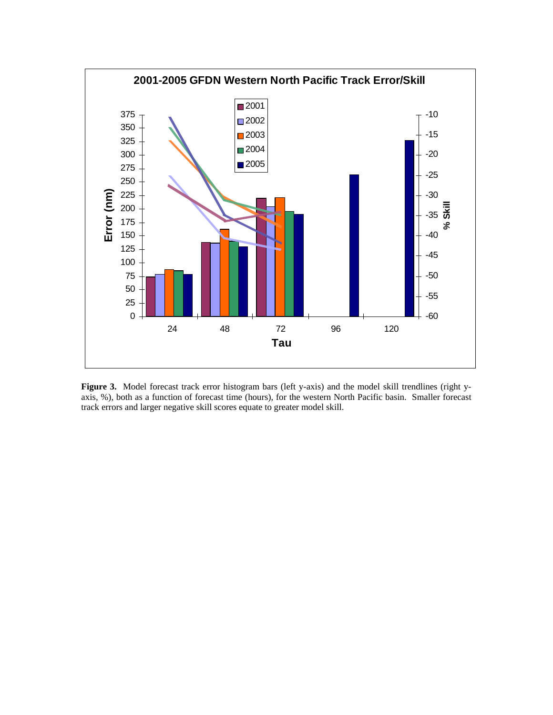

Figure 3. Model forecast track error histogram bars (left y-axis) and the model skill trendlines (right yaxis, %), both as a function of forecast time (hours), for the western North Pacific basin. Smaller forecast track errors and larger negative skill scores equate to greater model skill.